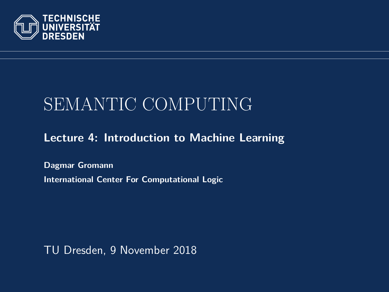<span id="page-0-0"></span>

# SEMANTIC COMPUTING

#### **[Lecture 4: Introduction to Machine Learning](https://iccl.inf.tu-dresden.de/web/Semantic_Computing_(SS2018))**

**[Dagmar Gromann](https://iccl.inf.tu-dresden.de/web/Dagmar_Gromann) International Center For Computational Logic**

TU Dresden, 9 November 2018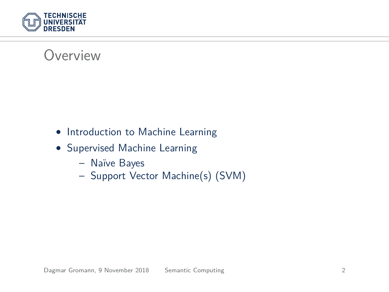

### Overview

- Introduction to Machine Learning
- Supervised Machine Learning
	- Naïve Bayes
	- Support Vector Machine(s) (SVM)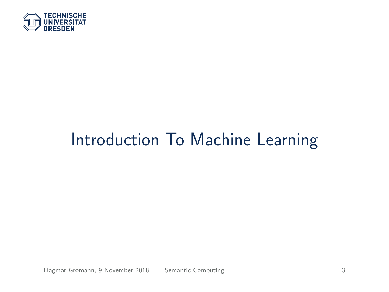

# Introduction To Machine Learning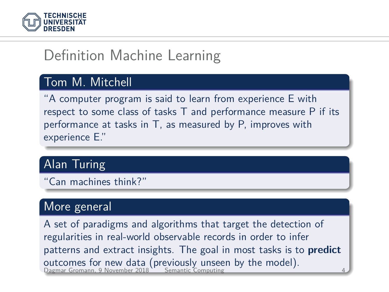

# Definition Machine Learning

#### Tom M. Mitchell

"A computer program is said to learn from experience E with respect to some class of tasks T and performance measure P if its performance at tasks in T, as measured by P, improves with experience E."

#### Alan Turing

"Can machines think?"

#### More general

A set of paradigms and algorithms that target the detection of regularities in real-world observable records in order to infer patterns and extract insights. The goal in most tasks is to **predict** outcomes for new data (previously unseen by the model).<br>Dagmar Gromann, 9 November 2018 [Semantic Computing](#page-0-0) 44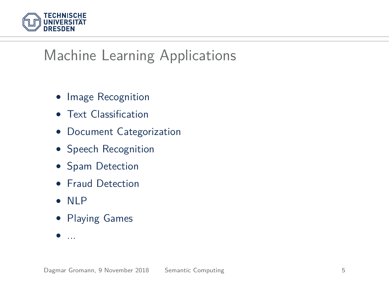

# Machine Learning Applications

- Image Recognition
- Text Classification
- Document Categorization
- Speech Recognition
- Spam Detection
- Fraud Detection
- NLP
- Playing Games
- ...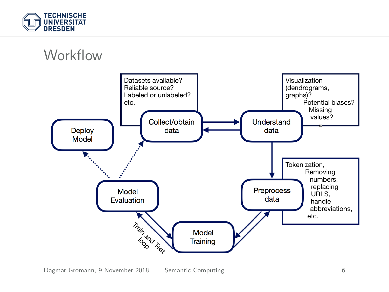

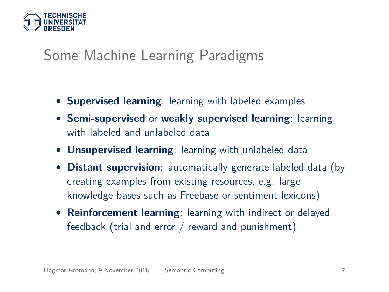

### Some Machine Learning Paradigms

- **Supervised learning**: learning with labeled examples
- **Semi-supervised** or **weakly supervised learning**: learning with labeled and unlabeled data
- **Unsupervised learning**: learning with unlabeled data
- **Distant supervision**: automatically generate labeled data (by creating examples from existing resources, e.g. large knowledge bases such as Freebase or sentiment lexicons)
- **Reinforcement learning**: learning with indirect or delayed feedback (trial and error / reward and punishment)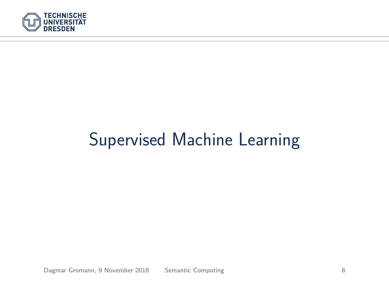

# Supervised Machine Learning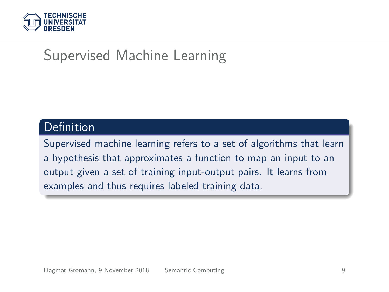

## Supervised Machine Learning

#### Definition

Supervised machine learning refers to a set of algorithms that learn a hypothesis that approximates a function to map an input to an output given a set of training input-output pairs. It learns from examples and thus requires labeled training data.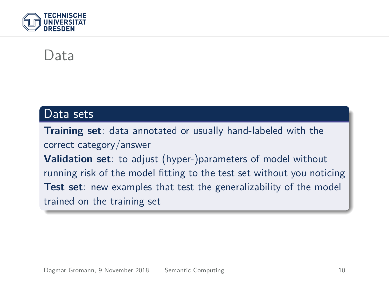

#### Data

#### Data sets

**Training set**: data annotated or usually hand-labeled with the correct category/answer **Validation set**: to adjust (hyper-)parameters of model without running risk of the model fitting to the test set without you noticing **Test set**: new examples that test the generalizability of the model trained on the training set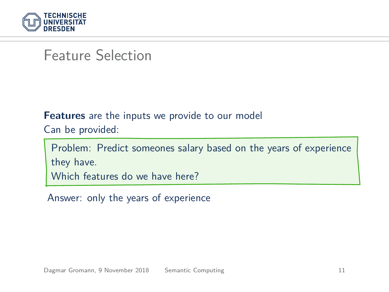

#### Feature Selection

#### **Features** are the inputs we provide to our model

Can be provided:

Problem: Predict someones salary based on the years of experience they have. Which features do we have here?

Answer: only the years of experience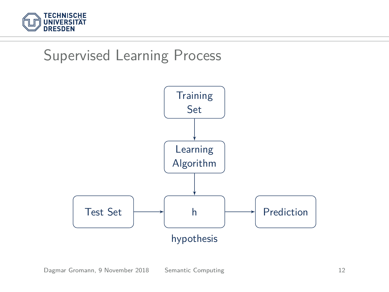

### Supervised Learning Process

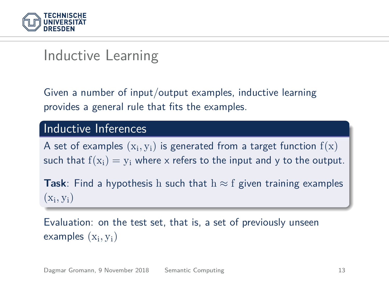

### Inductive Learning

Given a number of input/output examples, inductive learning provides a general rule that fits the examples.

#### Inductive Inferences

A set of examples  $(\mathrm{x_i},\mathrm{y_i})$  is generated from a target function  $\mathrm{f}(\mathrm{x})$ such that  $f(x_i) = v_i$  where x refers to the input and y to the output.

**Task**: Find a hypothesis h such that  $h \approx f$  given training examples  $(x_i, y_i)$ 

Evaluation: on the test set, that is, a set of previously unseen  $examples(x_i, y_i)$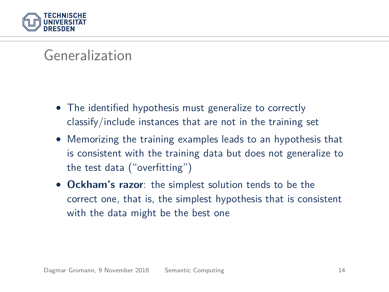

### Generalization

- The identified hypothesis must generalize to correctly classify/include instances that are not in the training set
- Memorizing the training examples leads to an hypothesis that is consistent with the training data but does not generalize to the test data ("overfitting")
- **Ockham's razor**: the simplest solution tends to be the correct one, that is, the simplest hypothesis that is consistent with the data might be the best one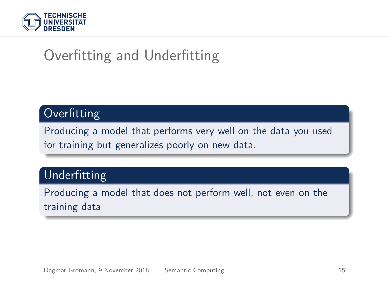

# Overfitting and Underfitting

#### **Overfitting**

Producing a model that performs very well on the data you used for training but generalizes poorly on new data.

#### Underfitting

Producing a model that does not perform well, not even on the training data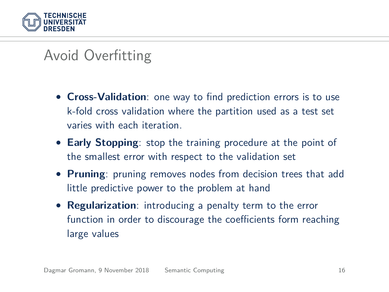

# Avoid Overfitting

- **Cross-Validation**: one way to find prediction errors is to use k-fold cross validation where the partition used as a test set varies with each iteration.
- **Early Stopping**: stop the training procedure at the point of the smallest error with respect to the validation set
- **Pruning**: pruning removes nodes from decision trees that add little predictive power to the problem at hand
- **Regularization**: introducing a penalty term to the error function in order to discourage the coefficients form reaching large values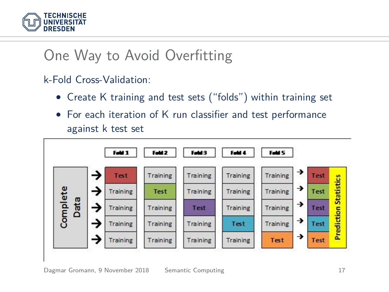

# One Way to Avoid Overfitting

#### k-Fold Cross-Validation:

- Create K training and test sets ("folds") within training set
- For each iteration of K run classifier and test performance against k test set

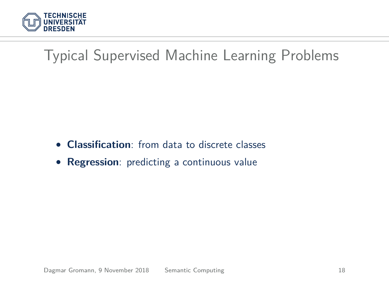

# Typical Supervised Machine Learning Problems

- **Classification**: from data to discrete classes
- **Regression**: predicting a continuous value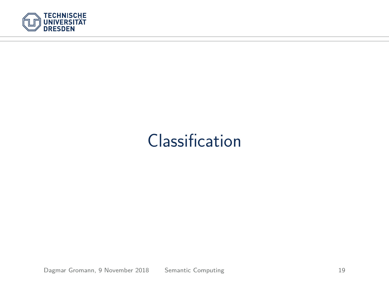

# Classification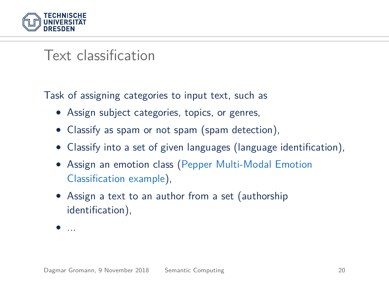

### Text classification

Task of assigning categories to input text, such as

- Assign subject categories, topics, or genres,
- Classify as spam or not spam (spam detection),
- Classify into a set of given languages (language identification),
- Assign an emotion class [\(Pepper Multi-Modal Emotion](https://www.youtube.com/watch?v=SupXHWZ5kcs) [Classification example\)](https://www.youtube.com/watch?v=SupXHWZ5kcs),
- Assign a text to an author from a set (authorship identification),
- ...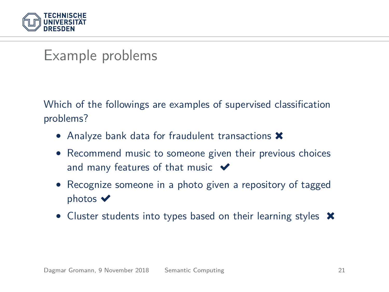

#### Example problems

Which of the followings are examples of supervised classification problems?

- Analyze bank data for fraudulent transactions **\***
- Recommend music to someone given their previous choices and many features of that music  $\blacktriangleright$
- Recognize someone in a photo given a repository of tagged photos  $\blacktriangledown$
- Cluster students into types based on their learning styles  $\mathsf{\textbf{X}}$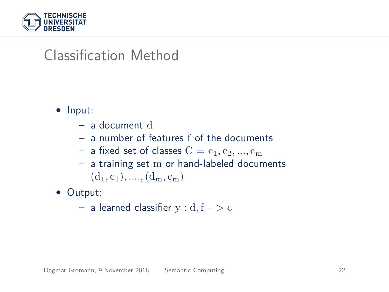

### Classification Method

- Input:
	- a document d
	- a number of features f of the documents
	- a fixed set of classes  $C = c_1, c_2, ..., c_m$
	- a training set m or hand-labeled documents  $(d_1, c_1), \ldots, (d_m, c_m)$

• Output:

– a learned classifier y : d, f− *>* c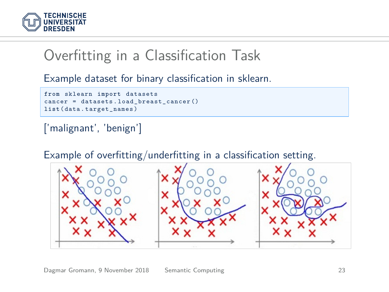

## Overfitting in a Classification Task

Example dataset for binary classification in sklearn.

```
from sklearn import datasets
cancer = datasets . load_breast_cancer ()
list ( data . target_names )
```
#### ['malignant', 'benign']

Example of overfitting/underfitting in a classification setting.

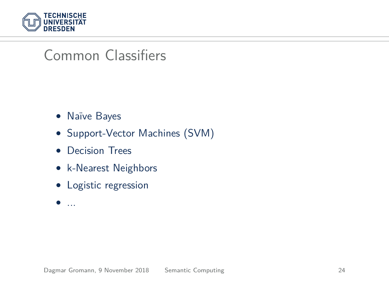

### Common Classifiers

- Naïve Bayes
- Support-Vector Machines (SVM)
- Decision Trees
- k-Nearest Neighbors
- Logistic regression
- $\bullet$  ...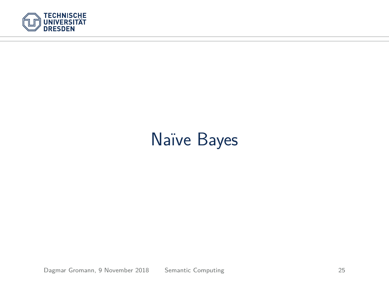

# Naïve Bayes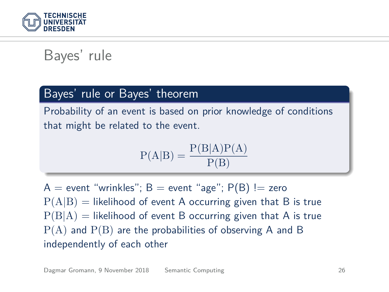

### Bayes' rule

#### Bayes' rule or Bayes' theorem

Probability of an event is based on prior knowledge of conditions that might be related to the event.

$$
P(A|B) = \frac{P(B|A)P(A)}{P(B)}
$$

 $A =$  event "wrinkles";  $B =$  event "age";  $P(B) =$  zero  $P(A|B)$  = likelihood of event A occurring given that B is true  $P(B|A)$  = likelihood of event B occurring given that A is true  $P(A)$  and  $P(B)$  are the probabilities of observing A and B independently of each other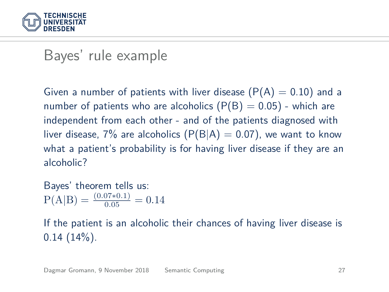

#### Bayes' rule example

Given a number of patients with liver disease  $(P(A) = 0.10)$  and a number of patients who are alcoholics  $(P(B) = 0.05)$  - which are independent from each other - and of the patients diagnosed with liver disease,  $7\%$  are alcoholics  $(P(B|A) = 0.07)$ , we want to know what a patient's probability is for having liver disease if they are an alcoholic?

Bayes' theorem tells us:  $P(A|B) = \frac{(0.07*0.1)}{0.05} = 0.14$ 

If the patient is an alcoholic their chances of having liver disease is  $0.14$   $(14\%)$ .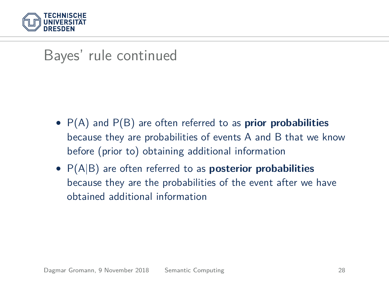

### Bayes' rule continued

- P(A) and P(B) are often referred to as **prior probabilities** because they are probabilities of events A and B that we know before (prior to) obtaining additional information
- P(A|B) are often referred to as **posterior probabilities** because they are the probabilities of the event after we have obtained additional information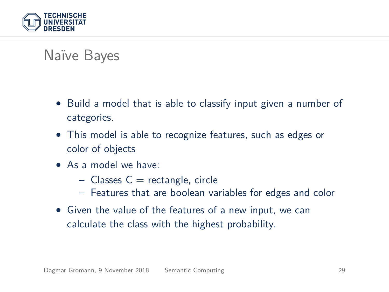

### Naïve Bayes

- Build a model that is able to classify input given a number of categories.
- This model is able to recognize features, such as edges or color of objects
- As a model we have:
	- $-$  Classes  $C =$  rectangle, circle
	- Features that are boolean variables for edges and color
- Given the value of the features of a new input, we can calculate the class with the highest probability.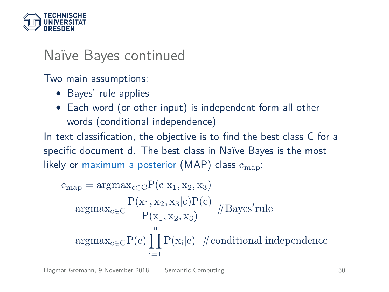

### Naïve Bayes continued

Two main assumptions:

- Bayes' rule applies
- Each word (or other input) is independent form all other words (conditional independence)

In text classification, the objective is to find the best class C for a specific document d. The best class in Naïve Bayes is the most likely or maximum a posterior (MAP) class  $c_{\text{man}}$ :

$$
c_{map} = \operatorname{argmax}_{c \in C} P(c|x_1, x_2, x_3)
$$
  
= 
$$
\operatorname{argmax}_{c \in C} \frac{P(x_1, x_2, x_3|c)P(c)}{P(x_1, x_2, x_3)} \# \text{Bayes' rule}
$$
  
= 
$$
\operatorname{argmax}_{c \in C} P(c) \prod_{i=1}^{n} P(x_i|c) \# \text{conditional independence}
$$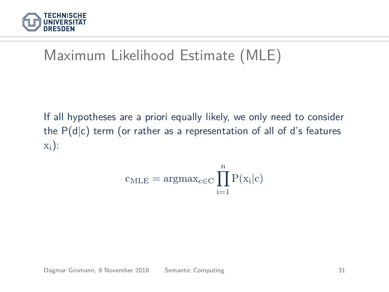

# Maximum Likelihood Estimate (MLE)

If all hypotheses are a priori equally likely, we only need to consider the  $P(d|c)$  term (or rather as a representation of all of d's features  $x_i$ :

$$
c_{MLE} = argmax_{c \in C} \prod_{i=1}^{n} P(x_i|c)
$$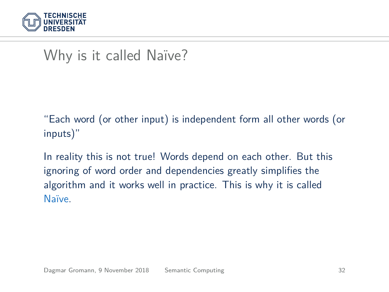

## Why is it called Naïve?

"Each word (or other input) is independent form all other words (or inputs)"

In reality this is not true! Words depend on each other. But this ignoring of word order and dependencies greatly simplifies the algorithm and it works well in practice. This is why it is called Naïve.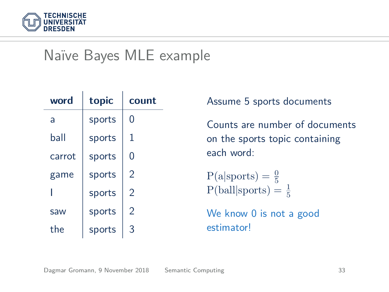

### Naïve Bayes MLE example

| word   | topic  | count |
|--------|--------|-------|
| a      | sports | 0     |
| hall   | sports | 1     |
| carrot | sports | 0     |
| game   | sports | 2     |
|        | sports | 2     |
| saw    | sports | 2     |
| the    | sports | 3     |

Assume 5 sports documents

Counts are number of documents on the sports topic containing each word:

 $P(a|$ sports $) = \frac{0}{5}$  $P(ball|`<sup>3</sup> =  $\frac{1}{5}$$ 

We know 0 is not a good estimator!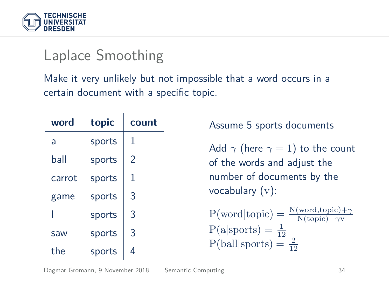

### Laplace Smoothing

Make it very unlikely but not impossible that a word occurs in a certain document with a specific topic.

| word   | topic  | count |
|--------|--------|-------|
| a      | sports | 1     |
| hall   | sports | 2     |
| carrot | sports | 1     |
| game   | sports | 3     |
|        | sports | 3     |
| saw    | sports | 3     |
| the    | sports | 4     |

Assume 5 sports documents

Add  $\gamma$  (here  $\gamma = 1$ ) to the count of the words and adjust the number of documents by the vocabulary (v):

 $P(\text{word}|\text{topic}) = \frac{N(\text{word}, \text{topic}) + \gamma}{N(\text{topic}) + \gamma v}$  $P(a|`= \frac{1}{12})$  $P(ball|spots) = \frac{2}{12}$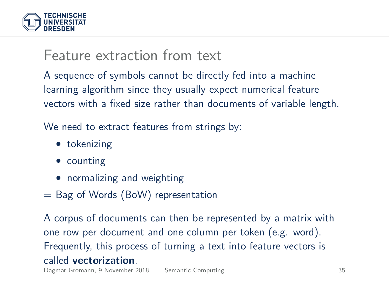

#### Feature extraction from text

A sequence of symbols cannot be directly fed into a machine learning algorithm since they usually expect numerical feature vectors with a fixed size rather than documents of variable length.

We need to extract features from strings by:

- tokenizing
- counting
- normalizing and weighting
- $=$  Bag of Words (BoW) representation

A corpus of documents can then be represented by a matrix with one row per document and one column per token (e.g. word). Frequently, this process of turning a text into feature vectors is called **vectorization**.

Dagmar Gromann, 9 November 2018 [Semantic Computing](#page-0-0) 35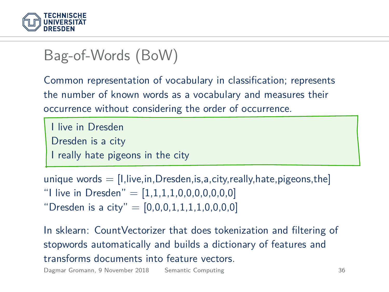

# Bag-of-Words (BoW)

Common representation of vocabulary in classification; represents the number of known words as a vocabulary and measures their occurrence without considering the order of occurrence.

```
I live in Dresden
Dresden is a city
I really hate pigeons in the city
```
unique words  $=$  [I, live, in, Dresden, is, a, city, really, hate, pigeons, the] "I live in Dresden" =  $[1,1,1,1,0,0,0,0,0,0,0]$ "Dresden is a city" =  $[0,0,0,1,1,1,1,0,0,0,0]$ 

In sklearn: CountVectorizer that does tokenization and filtering of stopwords automatically and builds a dictionary of features and transforms documents into feature vectors.

Dagmar Gromann, 9 November 2018 [Semantic Computing](#page-0-0) 36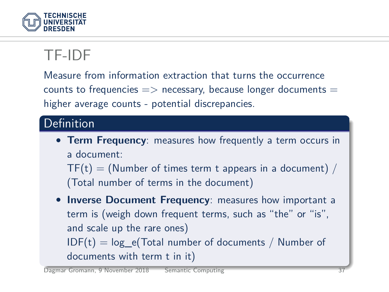

# TF-IDF

Measure from information extraction that turns the occurrence counts to frequencies  $\Rightarrow$  necessary, because longer documents  $=$ higher average counts - potential discrepancies.

#### **Definition**

• **Term Frequency**: measures how frequently a term occurs in a document:

 $TF(t) = (Number of times term t appears in a document)$ (Total number of terms in the document)

• **Inverse Document Frequency**: measures how important a term is (weigh down frequent terms, such as "the" or "is", and scale up the rare ones)  $IDF(t) = log_e(Total number of documents / Number of$ documents with term t in it)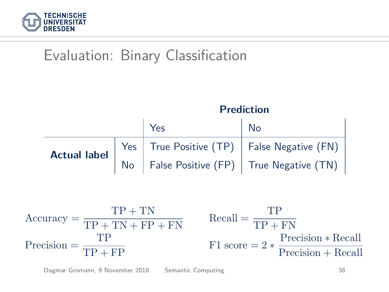

# Evaluation: Binary Classification



$$
Accuracy = \frac{TP + TN}{TP + TN + FP + FN}
$$
  
\n
$$
Precision = \frac{TP}{TP + FP}
$$
  
\n
$$
Factor = 2 * \frac{Precision * Recall}{Precision + Recall}
$$
  
\n
$$
Factor = 2 * \frac{Precision * Recall}{Precision + Recall}
$$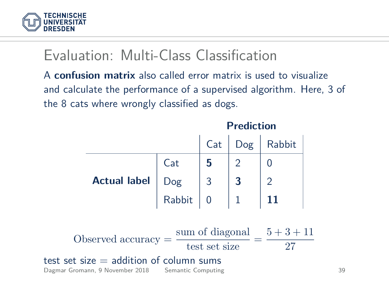

### Evaluation: Multi-Class Classification

A **confusion matrix** also called error matrix is used to visualize and calculate the performance of a supervised algorithm. Here, 3 of the 8 cats where wrongly classified as dogs.

|                                                                                                                                             |  |  |  | Cat   Dog   Rabbit |  |
|---------------------------------------------------------------------------------------------------------------------------------------------|--|--|--|--------------------|--|
| <b>Actual label</b> $\begin{bmatrix} \text{Cat} & \textbf{5} & 2 & 0 \\ \text{Dog} & 3 & 3 & 2 \\ \text{Rabbit} & 0 & 1 & 11 \end{bmatrix}$ |  |  |  |                    |  |
|                                                                                                                                             |  |  |  |                    |  |
|                                                                                                                                             |  |  |  |                    |  |
| Observed accuracy = $\frac{\text{sum of diagonal}}{\text{test set size}} = \frac{5+3+11}{27}$                                               |  |  |  |                    |  |
| $test$ set size $=$ addition of column sums<br>Dagmar Gromann, 9 November 2018 Semantic Computing                                           |  |  |  |                    |  |

**Prediction**